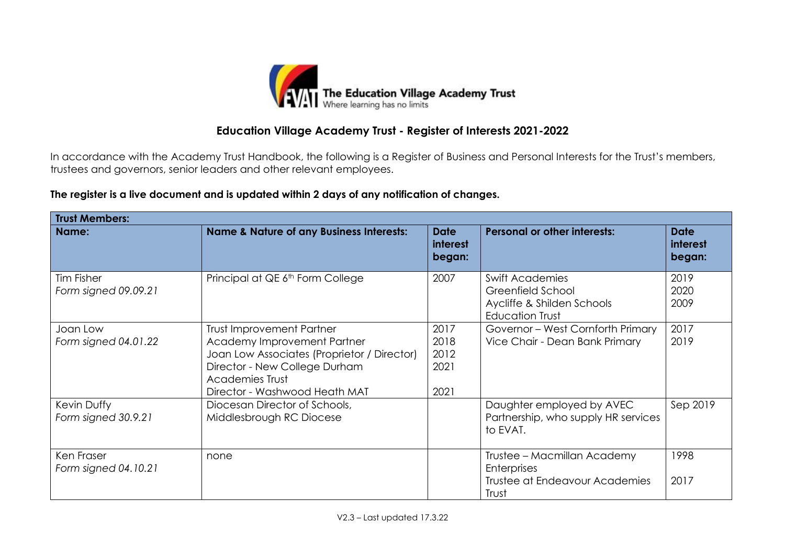

In accordance with the Academy Trust Handbook, the following is a Register of Business and Personal Interests for the Trust's members, trustees and governors, senior leaders and other relevant employees.

## **The register is a live document and is updated within 2 days of any notification of changes.**

| <b>Trust Members:</b>              |                                                                                                                                                                                                     |                                          |                                                                                                     |                                   |  |
|------------------------------------|-----------------------------------------------------------------------------------------------------------------------------------------------------------------------------------------------------|------------------------------------------|-----------------------------------------------------------------------------------------------------|-----------------------------------|--|
| Name:                              | <b>Name &amp; Nature of any Business Interests:</b>                                                                                                                                                 | <b>Date</b><br><b>interest</b><br>began: | <b>Personal or other interests:</b>                                                                 | <b>Date</b><br>interest<br>began: |  |
| Tim Fisher<br>Form signed 09.09.21 | Principal at QE 6 <sup>th</sup> Form College                                                                                                                                                        | 2007                                     | <b>Swift Academies</b><br>Greenfield School<br>Aycliffe & Shilden Schools<br><b>Education Trust</b> | 2019<br>2020<br>2009              |  |
| Joan Low<br>Form signed 04.01.22   | <b>Trust Improvement Partner</b><br>Academy Improvement Partner<br>Joan Low Associates (Proprietor / Director)<br>Director - New College Durham<br>Academies Trust<br>Director - Washwood Heath MAT | 2017<br>2018<br>2012<br>2021<br>2021     | Governor - West Cornforth Primary<br>Vice Chair - Dean Bank Primary                                 | 2017<br>2019                      |  |
| Kevin Duffy<br>Form signed 30.9.21 | Diocesan Director of Schools,<br>Middlesbrough RC Diocese                                                                                                                                           |                                          | Daughter employed by AVEC<br>Partnership, who supply HR services<br>to EVAT.                        | Sep 2019                          |  |
| Ken Fraser<br>Form signed 04.10.21 | none                                                                                                                                                                                                |                                          | Trustee – Macmillan Academy<br><b>Enterprises</b><br><b>Trustee at Endeavour Academies</b><br>Trust | 1998<br>2017                      |  |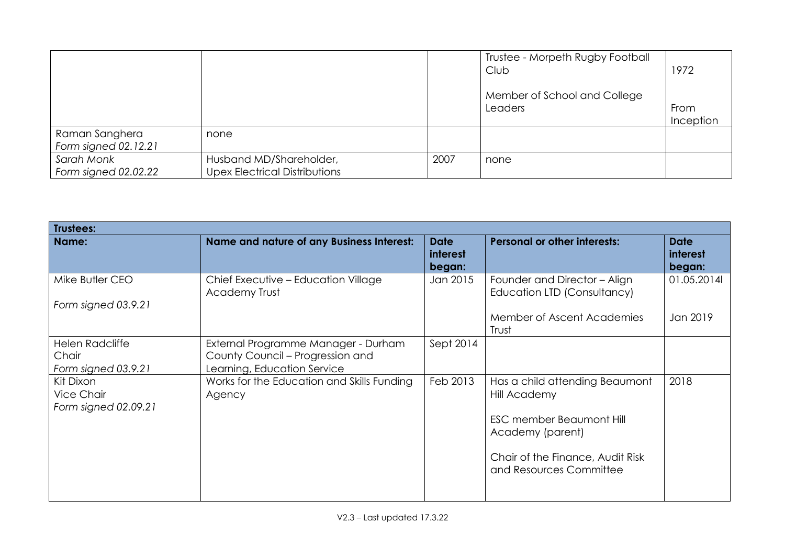|                                        |                                                                 |      | Trustee - Morpeth Rugby Football<br>Club | 1972              |
|----------------------------------------|-----------------------------------------------------------------|------|------------------------------------------|-------------------|
|                                        |                                                                 |      | Member of School and College<br>Leaders  | From<br>Inception |
| Raman Sanghera<br>Form signed 02.12.21 | none                                                            |      |                                          |                   |
| Sarah Monk<br>Form signed 02.02.22     | Husband MD/Shareholder,<br><b>Upex Electrical Distributions</b> | 2007 | none                                     |                   |

| Trustees:                                              |                                                                                                        |                                   |                                                             |                                   |
|--------------------------------------------------------|--------------------------------------------------------------------------------------------------------|-----------------------------------|-------------------------------------------------------------|-----------------------------------|
| Name:                                                  | <b>Name and nature of any Business Interest:</b>                                                       | <b>Date</b><br>interest<br>began: | <b>Personal or other interests:</b>                         | <b>Date</b><br>interest<br>began: |
| Mike Butler CEO<br>Form signed 03.9.21                 | Chief Executive - Education Village<br><b>Academy Trust</b>                                            | Jan 2015                          | Founder and Director - Align<br>Education LTD (Consultancy) | 01.05.2014                        |
|                                                        |                                                                                                        |                                   | Member of Ascent Academies<br>Trust                         | Jan 2019                          |
| <b>Helen Radcliffe</b><br>Chair<br>Form signed 03.9.21 | External Programme Manager - Durham<br>County Council - Progression and<br>Learning, Education Service | Sept 2014                         |                                                             |                                   |
| Kit Dixon<br>Vice Chair<br>Form signed 02.09.21        | Works for the Education and Skills Funding<br>Agency                                                   | Feb 2013                          | Has a child attending Beaumont<br>Hill Academy              | 2018                              |
|                                                        |                                                                                                        |                                   | <b>ESC member Beaumont Hill</b><br>Academy (parent)         |                                   |
|                                                        |                                                                                                        |                                   | Chair of the Finance, Audit Risk<br>and Resources Committee |                                   |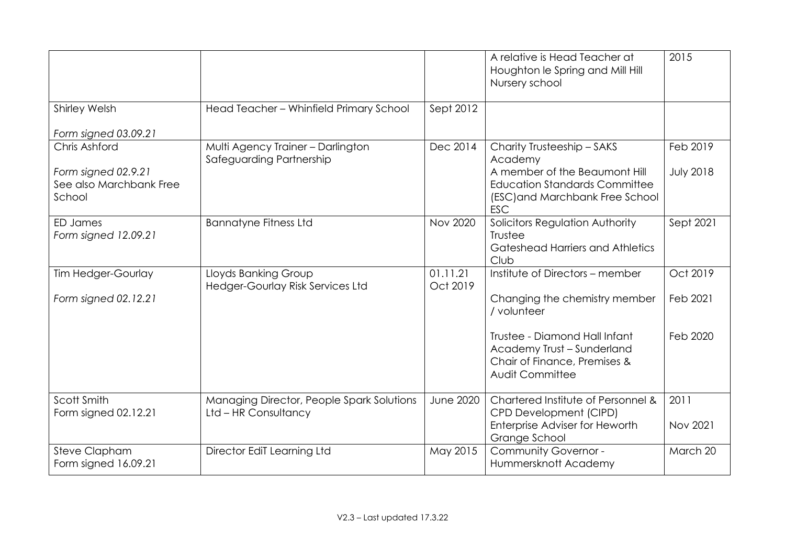|                                                          |                                                                   |                      | A relative is Head Teacher at<br>Houghton le Spring and Mill Hill<br>Nursery school                                    | 2015             |
|----------------------------------------------------------|-------------------------------------------------------------------|----------------------|------------------------------------------------------------------------------------------------------------------------|------------------|
| <b>Shirley Welsh</b>                                     | Head Teacher - Whinfield Primary School                           | Sept 2012            |                                                                                                                        |                  |
| Form signed 03.09.21                                     |                                                                   |                      |                                                                                                                        |                  |
| Chris Ashford                                            | Multi Agency Trainer - Darlington<br>Safeguarding Partnership     | Dec 2014             | Charity Trusteeship - SAKS<br>Academy                                                                                  | Feb 2019         |
| Form signed 02.9.21<br>See also Marchbank Free<br>School |                                                                   |                      | A member of the Beaumont Hill<br><b>Education Standards Committee</b><br>(ESC) and Marchbank Free School<br><b>ESC</b> | <b>July 2018</b> |
| <b>ED James</b><br>Form signed 12.09.21                  | <b>Bannatyne Fitness Ltd</b>                                      | <b>Nov 2020</b>      | Solicitors Regulation Authority<br>Trustee<br><b>Gateshead Harriers and Athletics</b><br>Club                          | Sept 2021        |
| Tim Hedger-Gourlay                                       | Lloyds Banking Group<br>Hedger-Gourlay Risk Services Ltd          | 01.11.21<br>Oct 2019 | Institute of Directors - member                                                                                        | Oct 2019         |
| Form signed 02.12.21                                     |                                                                   |                      | Changing the chemistry member<br>/ volunteer                                                                           | Feb 2021         |
|                                                          |                                                                   |                      | Trustee - Diamond Hall Infant<br>Academy Trust - Sunderland<br>Chair of Finance, Premises &<br>Audit Committee         | Feb 2020         |
| Scott Smith<br>Form signed 02.12.21                      | Managing Director, People Spark Solutions<br>Ltd - HR Consultancy | <b>June 2020</b>     | Chartered Institute of Personnel &<br>CPD Development (CIPD)<br>Enterprise Adviser for Heworth<br>Grange School        | 2011<br>Nov 2021 |
| Steve Clapham<br>Form signed 16.09.21                    | Director EdiT Learning Ltd                                        | May 2015             | Community Governor -<br>Hummersknott Academy                                                                           | March 20         |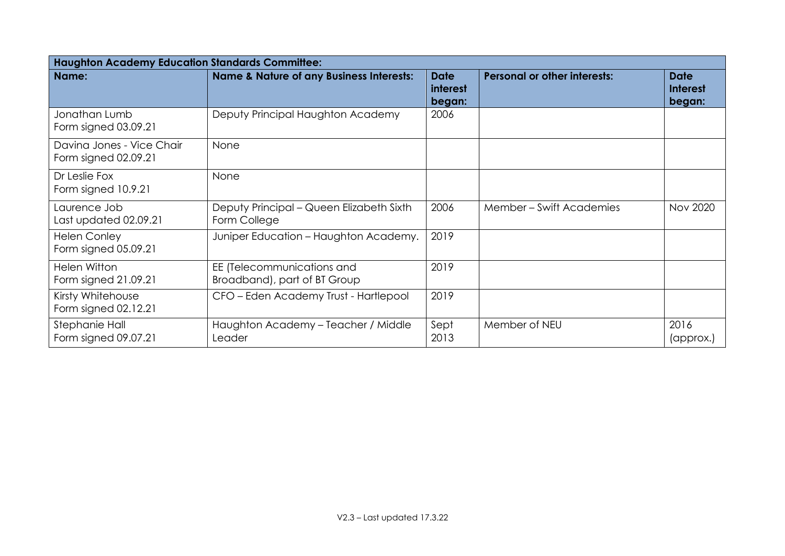| <b>Haughton Academy Education Standards Committee:</b> |                                                            |                                          |                                     |                                   |
|--------------------------------------------------------|------------------------------------------------------------|------------------------------------------|-------------------------------------|-----------------------------------|
| Name:                                                  | <b>Name &amp; Nature of any Business Interests:</b>        | <b>Date</b><br><i>interest</i><br>began: | <b>Personal or other interests:</b> | Date<br><b>Interest</b><br>began: |
| Jonathan Lumb<br>Form signed 03.09.21                  | Deputy Principal Haughton Academy                          | 2006                                     |                                     |                                   |
| Davina Jones - Vice Chair<br>Form signed 02.09.21      | None                                                       |                                          |                                     |                                   |
| Dr Leslie Fox<br>Form signed 10.9.21                   | None                                                       |                                          |                                     |                                   |
| Laurence Job<br>Last updated 02.09.21                  | Deputy Principal – Queen Elizabeth Sixth<br>Form College   | 2006                                     | Member – Swift Academies            | <b>Nov 2020</b>                   |
| <b>Helen Conley</b><br>Form signed 05.09.21            | Juniper Education - Haughton Academy.                      | 2019                                     |                                     |                                   |
| <b>Helen Witton</b><br>Form signed 21.09.21            | EE (Telecommunications and<br>Broadband), part of BT Group | 2019                                     |                                     |                                   |
| Kirsty Whitehouse<br>Form signed 02.12.21              | CFO - Eden Academy Trust - Hartlepool                      | 2019                                     |                                     |                                   |
| Stephanie Hall<br>Form signed 09.07.21                 | Haughton Academy - Teacher / Middle<br>Leader              | Sept<br>2013                             | Member of NEU                       | 2016<br>(approx.)                 |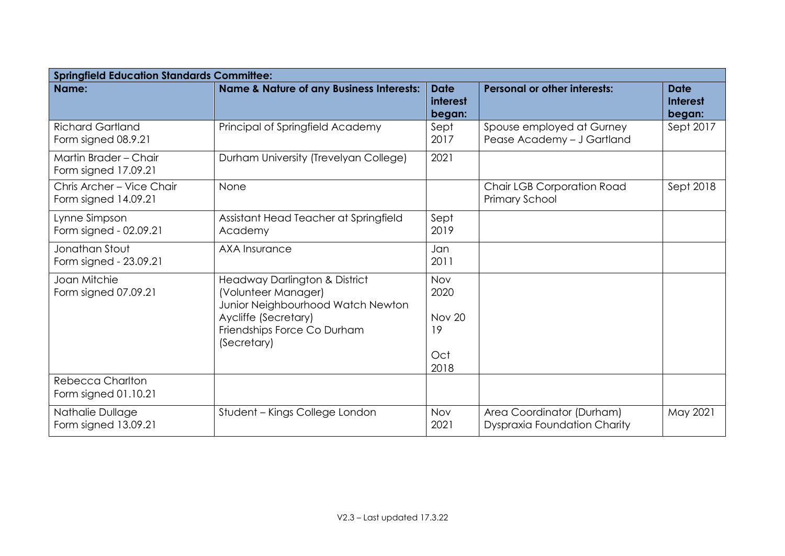| <b>Springfield Education Standards Committee:</b> |                                                                                                                                                                 |                                                   |                                                                  |                                          |  |
|---------------------------------------------------|-----------------------------------------------------------------------------------------------------------------------------------------------------------------|---------------------------------------------------|------------------------------------------------------------------|------------------------------------------|--|
| Name:                                             | <b>Name &amp; Nature of any Business Interests:</b>                                                                                                             | <b>Date</b><br><b>interest</b><br>began:          | <b>Personal or other interests:</b>                              | <b>Date</b><br><b>Interest</b><br>began: |  |
| <b>Richard Gartland</b><br>Form signed 08.9.21    | Principal of Springfield Academy                                                                                                                                | Sept<br>2017                                      | Spouse employed at Gurney<br>Pease Academy - J Gartland          | Sept 2017                                |  |
| Martin Brader - Chair<br>Form signed 17.09.21     | Durham University (Trevelyan College)                                                                                                                           | 2021                                              |                                                                  |                                          |  |
| Chris Archer - Vice Chair<br>Form signed 14.09.21 | None                                                                                                                                                            |                                                   | <b>Chair LGB Corporation Road</b><br>Primary School              | Sept 2018                                |  |
| Lynne Simpson<br>Form signed - 02.09.21           | Assistant Head Teacher at Springfield<br>Academy                                                                                                                | Sept<br>2019                                      |                                                                  |                                          |  |
| Jonathan Stout<br>Form signed - 23.09.21          | <b>AXA Insurance</b>                                                                                                                                            | Jan<br>2011                                       |                                                                  |                                          |  |
| Joan Mitchie<br>Form signed 07.09.21              | Headway Darlington & District<br>(Volunteer Manager)<br>Junior Neighbourhood Watch Newton<br>Aycliffe (Secretary)<br>Friendships Force Co Durham<br>(Secretary) | Nov<br>2020<br><b>Nov 20</b><br>19<br>Oct<br>2018 |                                                                  |                                          |  |
| <b>Rebecca Charlton</b><br>Form signed 01.10.21   |                                                                                                                                                                 |                                                   |                                                                  |                                          |  |
| Nathalie Dullage<br>Form signed 13.09.21          | Student – Kings College London                                                                                                                                  | Nov<br>2021                                       | Area Coordinator (Durham)<br><b>Dyspraxia Foundation Charity</b> | May 2021                                 |  |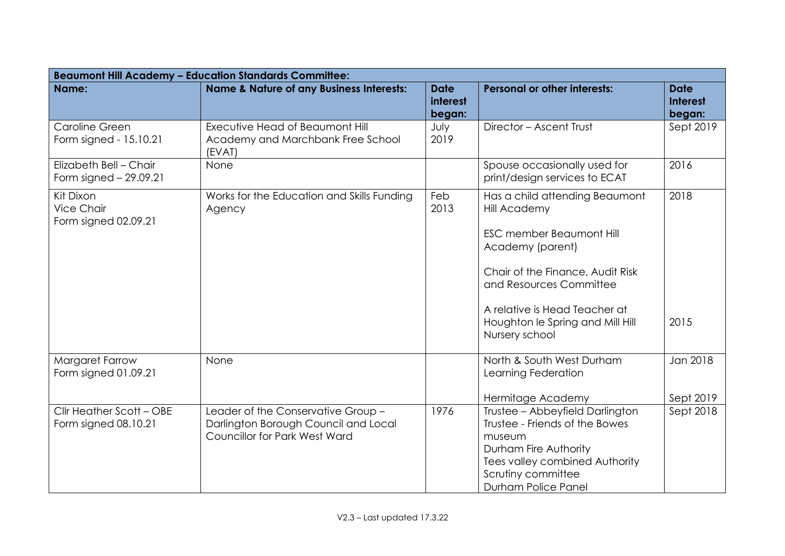|                                                        | <b>Beaumont Hill Academy - Education Standards Committee:</b>                                                      |                                          |                                                                                                                                                                                                                                                                    |                                          |
|--------------------------------------------------------|--------------------------------------------------------------------------------------------------------------------|------------------------------------------|--------------------------------------------------------------------------------------------------------------------------------------------------------------------------------------------------------------------------------------------------------------------|------------------------------------------|
| Name:                                                  | <b>Name &amp; Nature of any Business Interests:</b>                                                                | <b>Date</b><br><b>interest</b><br>began: | <b>Personal or other interests:</b>                                                                                                                                                                                                                                | <b>Date</b><br><b>Interest</b><br>began: |
| Caroline Green<br>Form signed - 15.10.21               | Executive Head of Beaumont Hill<br>Academy and Marchbank Free School<br>(EVAT)                                     | July<br>2019                             | Director - Ascent Trust                                                                                                                                                                                                                                            | Sept 2019                                |
| Elizabeth Bell - Chair<br>Form signed $-29.09.21$      | None                                                                                                               |                                          | Spouse occasionally used for<br>print/design services to ECAT                                                                                                                                                                                                      | 2016                                     |
| Kit Dixon<br><b>Vice Chair</b><br>Form signed 02.09.21 | Works for the Education and Skills Funding<br>Agency                                                               | Feb<br>2013                              | Has a child attending Beaumont<br><b>Hill Academy</b><br><b>ESC member Beaumont Hill</b><br>Academy (parent)<br>Chair of the Finance, Audit Risk<br>and Resources Committee<br>A relative is Head Teacher at<br>Houghton le Spring and Mill Hill<br>Nursery school | 2018<br>2015                             |
| Margaret Farrow<br>Form signed 01.09.21                | None                                                                                                               |                                          | North & South West Durham<br>Learning Federation<br>Hermitage Academy                                                                                                                                                                                              | Jan 2018<br>Sept 2019                    |
| Cllr Heather Scott - OBE<br>Form signed 08.10.21       | Leader of the Conservative Group -<br>Darlington Borough Council and Local<br><b>Councillor for Park West Ward</b> | 1976                                     | Trustee - Abbeyfield Darlington<br>Trustee - Friends of the Bowes<br>museum<br>Durham Fire Authority<br>Tees valley combined Authority<br>Scrutiny committee<br>Durham Police Panel                                                                                | Sept 2018                                |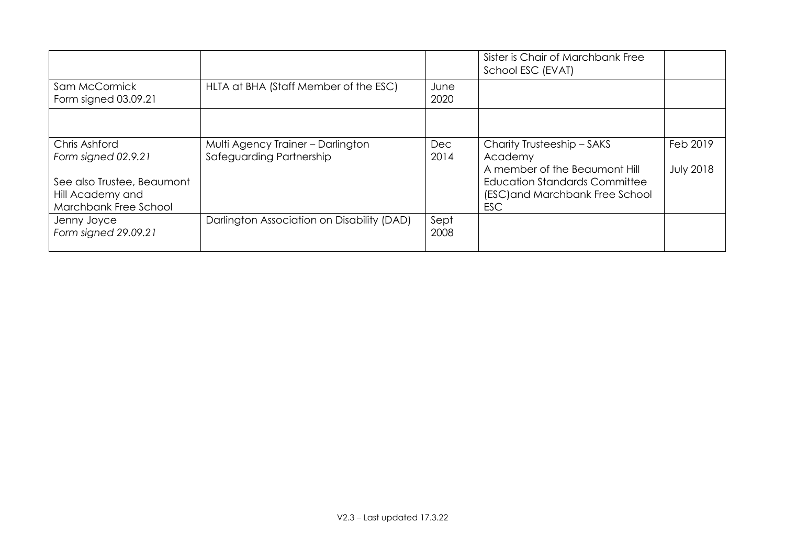|                                                                                                                 |                                                               |                    | Sister is Chair of Marchbank Free<br>School ESC (EVAT)                                                                                                          |                              |
|-----------------------------------------------------------------------------------------------------------------|---------------------------------------------------------------|--------------------|-----------------------------------------------------------------------------------------------------------------------------------------------------------------|------------------------------|
| Sam McCormick<br>Form signed 03.09.21                                                                           | HLTA at BHA (Staff Member of the ESC)                         | June<br>2020       |                                                                                                                                                                 |                              |
|                                                                                                                 |                                                               |                    |                                                                                                                                                                 |                              |
| Chris Ashford<br>Form signed 02.9.21<br>See also Trustee, Beaumont<br>Hill Academy and<br>Marchbank Free School | Multi Agency Trainer - Darlington<br>Safeguarding Partnership | <b>Dec</b><br>2014 | Charity Trusteeship - SAKS<br>Academy<br>A member of the Beaumont Hill<br><b>Education Standards Committee</b><br>(ESC) and Marchbank Free School<br><b>ESC</b> | Feb 2019<br><b>July 2018</b> |
| Jenny Joyce<br>Form signed 29.09.21                                                                             | Darlington Association on Disability (DAD)                    | Sept<br>2008       |                                                                                                                                                                 |                              |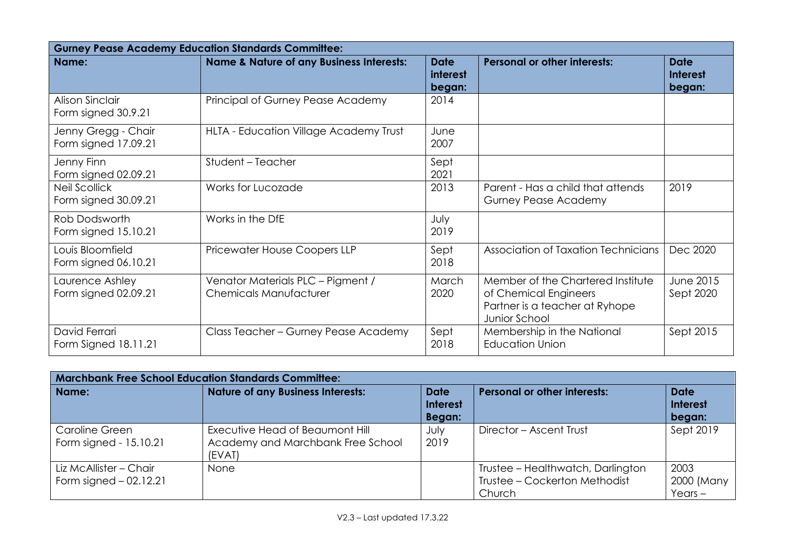|                                              | <b>Gurney Pease Academy Education Standards Committee:</b>         |                                   |                                                                                                               |                                          |  |
|----------------------------------------------|--------------------------------------------------------------------|-----------------------------------|---------------------------------------------------------------------------------------------------------------|------------------------------------------|--|
| Name:                                        | <b>Name &amp; Nature of any Business Interests:</b>                | <b>Date</b><br>interest<br>began: | <b>Personal or other interests:</b>                                                                           | <b>Date</b><br><b>Interest</b><br>began: |  |
| Alison Sinclair<br>Form signed 30.9.21       | Principal of Gurney Pease Academy                                  | 2014                              |                                                                                                               |                                          |  |
| Jenny Gregg - Chair<br>Form signed 17.09.21  | HLTA - Education Village Academy Trust                             | June<br>2007                      |                                                                                                               |                                          |  |
| Jenny Finn<br>Form signed 02.09.21           | Student - Teacher                                                  | Sept<br>2021                      |                                                                                                               |                                          |  |
| <b>Neil Scollick</b><br>Form signed 30.09.21 | Works for Lucozade                                                 | 2013                              | Parent - Has a child that attends<br><b>Gurney Pease Academy</b>                                              | 2019                                     |  |
| Rob Dodsworth<br>Form signed 15.10.21        | Works in the DfE                                                   | July<br>2019                      |                                                                                                               |                                          |  |
| Louis Bloomfield<br>Form signed 06.10.21     | Pricewater House Coopers LLP                                       | Sept<br>2018                      | Association of Taxation Technicians                                                                           | Dec 2020                                 |  |
| Laurence Ashley<br>Form signed 02.09.21      | Venator Materials PLC - Pigment /<br><b>Chemicals Manufacturer</b> | March<br>2020                     | Member of the Chartered Institute<br>of Chemical Engineers<br>Partner is a teacher at Ryhope<br>Junior School | June 2015<br>Sept 2020                   |  |
| David Ferrari<br>Form Signed 18.11.21        | Class Teacher - Gurney Pease Academy                               | Sept<br>2018                      | Membership in the National<br><b>Education Union</b>                                                          | Sept 2015                                |  |

| <b>Marchbank Free School Education Standards Committee:</b> |                                                                                |                                          |                                                                              |                                          |
|-------------------------------------------------------------|--------------------------------------------------------------------------------|------------------------------------------|------------------------------------------------------------------------------|------------------------------------------|
| Name:                                                       | <b>Nature of any Business Interests:</b>                                       | <b>Date</b><br><b>Interest</b><br>Began: | <b>Personal or other interests:</b>                                          | <b>Date</b><br><b>Interest</b><br>began: |
| Caroline Green<br>Form signed - 15.10.21                    | Executive Head of Beaumont Hill<br>Academy and Marchbank Free School<br>(EVAT) | July<br>2019                             | Director - Ascent Trust                                                      | Sept 2019                                |
| Liz McAllister - Chair<br>Form signed $-02.12.21$           | None                                                                           |                                          | Trustee - Healthwatch, Darlington<br>Trustee - Cockerton Methodist<br>Church | 2003<br>2000 (Many<br>$Years -$          |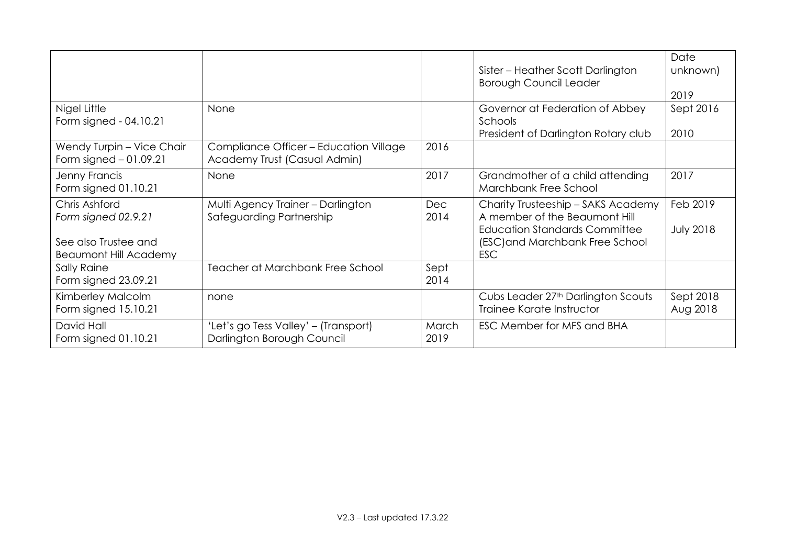|                                                                                              |                                                                        |                    | Sister – Heather Scott Darlington<br><b>Borough Council Leader</b>                                                                                           | Date<br>unknown)<br>2019     |
|----------------------------------------------------------------------------------------------|------------------------------------------------------------------------|--------------------|--------------------------------------------------------------------------------------------------------------------------------------------------------------|------------------------------|
| Nigel Little<br>Form signed - 04.10.21                                                       | None                                                                   |                    | Governor at Federation of Abbey<br>Schools<br>President of Darlington Rotary club                                                                            | Sept 2016<br>2010            |
| Wendy Turpin - Vice Chair<br>Form signed $-01.09.21$                                         | Compliance Officer - Education Village<br>Academy Trust (Casual Admin) | 2016               |                                                                                                                                                              |                              |
| Jenny Francis<br>Form signed 01.10.21                                                        | None                                                                   | 2017               | Grandmother of a child attending<br>Marchbank Free School                                                                                                    | 2017                         |
| Chris Ashford<br>Form signed 02.9.21<br>See also Trustee and<br><b>Beaumont Hill Academy</b> | Multi Agency Trainer - Darlington<br>Safeguarding Partnership          | <b>Dec</b><br>2014 | Charity Trusteeship - SAKS Academy<br>A member of the Beaumont Hill<br><b>Education Standards Committee</b><br>(ESC) and Marchbank Free School<br><b>ESC</b> | Feb 2019<br><b>July 2018</b> |
| Sally Raine<br>Form signed 23.09.21                                                          | Teacher at Marchbank Free School                                       | Sept<br>2014       |                                                                                                                                                              |                              |
| Kimberley Malcolm<br>Form signed 15.10.21                                                    | none                                                                   |                    | Cubs Leader 27 <sup>th</sup> Darlington Scouts<br>Trainee Karate Instructor                                                                                  | Sept 2018<br>Aug 2018        |
| David Hall<br>Form signed 01.10.21                                                           | 'Let's go Tess Valley' - (Transport)<br>Darlington Borough Council     | March<br>2019      | ESC Member for MFS and BHA                                                                                                                                   |                              |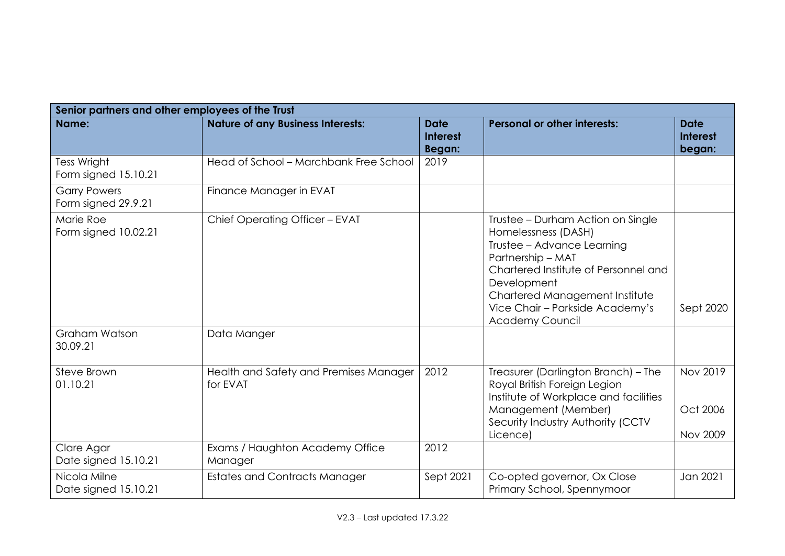|                                            | Senior partners and other employees of the Trust   |                                                 |                                                                                                                                                                                                                                                                   |                                          |  |  |
|--------------------------------------------|----------------------------------------------------|-------------------------------------------------|-------------------------------------------------------------------------------------------------------------------------------------------------------------------------------------------------------------------------------------------------------------------|------------------------------------------|--|--|
| Name:                                      | <b>Nature of any Business Interests:</b>           | <b>Date</b><br><b>Interest</b><br><b>Began:</b> | <b>Personal or other interests:</b>                                                                                                                                                                                                                               | <b>Date</b><br><b>Interest</b><br>began: |  |  |
| <b>Tess Wright</b><br>Form signed 15.10.21 | Head of School - Marchbank Free School             | 2019                                            |                                                                                                                                                                                                                                                                   |                                          |  |  |
| <b>Garry Powers</b><br>Form signed 29.9.21 | Finance Manager in EVAT                            |                                                 |                                                                                                                                                                                                                                                                   |                                          |  |  |
| Marie Roe<br>Form signed 10.02.21          | Chief Operating Officer - EVAT                     |                                                 | Trustee - Durham Action on Single<br>Homelessness (DASH)<br>Trustee - Advance Learning<br>Partnership - MAT<br>Chartered Institute of Personnel and<br>Development<br>Chartered Management Institute<br>Vice Chair - Parkside Academy's<br><b>Academy Council</b> | Sept 2020                                |  |  |
| Graham Watson<br>30.09.21                  | Data Manger                                        |                                                 |                                                                                                                                                                                                                                                                   |                                          |  |  |
| Steve Brown<br>01.10.21                    | Health and Safety and Premises Manager<br>for EVAT | 2012                                            | Treasurer (Darlington Branch) - The<br>Royal British Foreign Legion<br>Institute of Workplace and facilities<br>Management (Member)<br>Security Industry Authority (CCTV<br>Licence)                                                                              | Nov 2019<br>Oct 2006<br><b>Nov 2009</b>  |  |  |
| Clare Agar<br>Date signed 15.10.21         | Exams / Haughton Academy Office<br>Manager         | 2012                                            |                                                                                                                                                                                                                                                                   |                                          |  |  |
| Nicola Milne<br>Date signed 15.10.21       | <b>Estates and Contracts Manager</b>               | Sept 2021                                       | Co-opted governor, Ox Close<br>Primary School, Spennymoor                                                                                                                                                                                                         | Jan 2021                                 |  |  |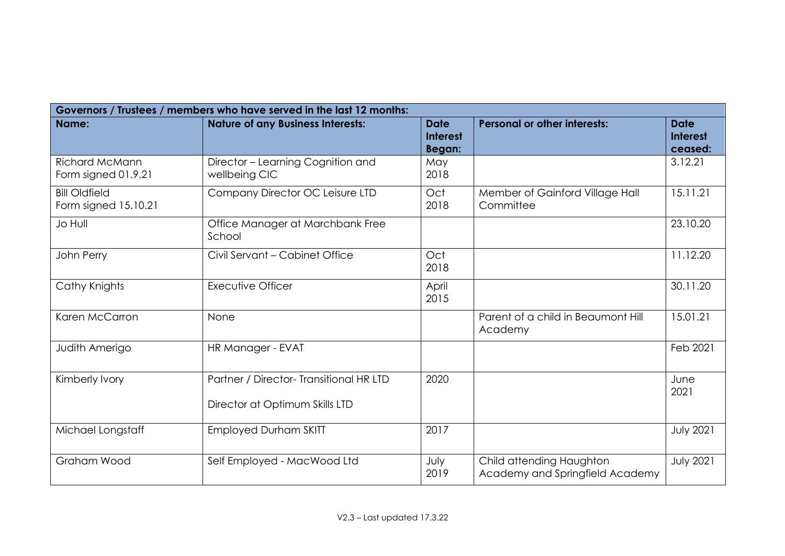| Governors / Trustees / members who have served in the last 12 months: |                                                                           |                                          |                                                             |                                           |  |  |  |  |
|-----------------------------------------------------------------------|---------------------------------------------------------------------------|------------------------------------------|-------------------------------------------------------------|-------------------------------------------|--|--|--|--|
| Name:                                                                 | <b>Nature of any Business Interests:</b>                                  | <b>Date</b><br><b>Interest</b><br>Began: | <b>Personal or other interests:</b>                         | <b>Date</b><br><b>Interest</b><br>ceased: |  |  |  |  |
| <b>Richard McMann</b><br>Form signed 01.9.21                          | Director - Learning Cognition and<br>wellbeing CIC                        | May<br>2018                              |                                                             | 3.12.21                                   |  |  |  |  |
| <b>Bill Oldfield</b><br>Form signed 15.10.21                          | Company Director OC Leisure LTD                                           | Oct<br>2018                              | Member of Gainford Village Hall<br>Committee                | 15.11.21                                  |  |  |  |  |
| <b>Jo Hull</b>                                                        | Office Manager at Marchbank Free<br>School                                |                                          |                                                             | 23.10.20                                  |  |  |  |  |
| John Perry                                                            | Civil Servant - Cabinet Office                                            | Oct<br>2018                              |                                                             | 11.12.20                                  |  |  |  |  |
| Cathy Knights                                                         | <b>Executive Officer</b>                                                  | April<br>2015                            |                                                             | 30.11.20                                  |  |  |  |  |
| Karen McCarron                                                        | None                                                                      |                                          | Parent of a child in Beaumont Hill<br>Academy               | 15.01.21                                  |  |  |  |  |
| Judith Amerigo                                                        | HR Manager - EVAT                                                         |                                          |                                                             | Feb 2021                                  |  |  |  |  |
| Kimberly Ivory                                                        | Partner / Director- Transitional HR LTD<br>Director at Optimum Skills LTD | 2020                                     |                                                             | June<br>2021                              |  |  |  |  |
| Michael Longstaff                                                     | <b>Employed Durham SKITT</b>                                              | 2017                                     |                                                             | <b>July 2021</b>                          |  |  |  |  |
| Graham Wood                                                           | Self Employed - MacWood Ltd                                               | July<br>2019                             | Child attending Haughton<br>Academy and Springfield Academy | <b>July 2021</b>                          |  |  |  |  |